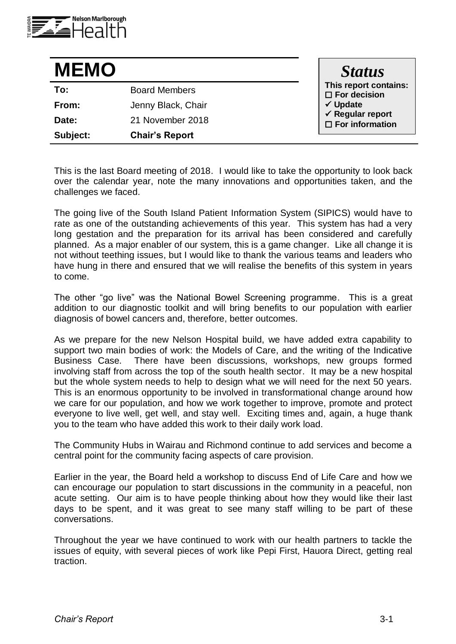

| <b>MEMO</b> |                       | <b>Status</b>                                                                                             |
|-------------|-----------------------|-----------------------------------------------------------------------------------------------------------|
| To:         | <b>Board Members</b>  | This report contains:<br>$\square$ For decision<br>√ Update<br>√ Regular report<br>$\Box$ For information |
| From:       | Jenny Black, Chair    |                                                                                                           |
| Date:       | 21 November 2018      |                                                                                                           |
| Subject:    | <b>Chair's Report</b> |                                                                                                           |

This is the last Board meeting of 2018. I would like to take the opportunity to look back over the calendar year, note the many innovations and opportunities taken, and the challenges we faced.

The going live of the South Island Patient Information System (SIPICS) would have to rate as one of the outstanding achievements of this year. This system has had a very long gestation and the preparation for its arrival has been considered and carefully planned. As a major enabler of our system, this is a game changer. Like all change it is not without teething issues, but I would like to thank the various teams and leaders who have hung in there and ensured that we will realise the benefits of this system in years to come.

The other "go live" was the National Bowel Screening programme. This is a great addition to our diagnostic toolkit and will bring benefits to our population with earlier diagnosis of bowel cancers and, therefore, better outcomes.

As we prepare for the new Nelson Hospital build, we have added extra capability to support two main bodies of work: the Models of Care, and the writing of the Indicative Business Case. There have been discussions, workshops, new groups formed involving staff from across the top of the south health sector. It may be a new hospital but the whole system needs to help to design what we will need for the next 50 years. This is an enormous opportunity to be involved in transformational change around how we care for our population, and how we work together to improve, promote and protect everyone to live well, get well, and stay well. Exciting times and, again, a huge thank you to the team who have added this work to their daily work load.

The Community Hubs in Wairau and Richmond continue to add services and become a central point for the community facing aspects of care provision.

Earlier in the year, the Board held a workshop to discuss End of Life Care and how we can encourage our population to start discussions in the community in a peaceful, non acute setting. Our aim is to have people thinking about how they would like their last days to be spent, and it was great to see many staff willing to be part of these conversations.

Throughout the year we have continued to work with our health partners to tackle the issues of equity, with several pieces of work like Pepi First, Hauora Direct, getting real traction.